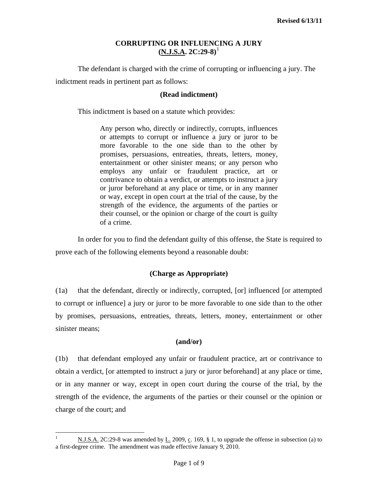The defendant is charged with the crime of corrupting or influencing a jury. The indictment reads in pertinent part as follows:

## **(Read indictment)**

This indictment is based on a statute which provides:

Any person who, directly or indirectly, corrupts, influences or attempts to corrupt or influence a jury or juror to be more favorable to the one side than to the other by promises, persuasions, entreaties, threats, letters, money, entertainment or other sinister means; or any person who employs any unfair or fraudulent practice, art or contrivance to obtain a verdict, or attempts to instruct a jury or juror beforehand at any place or time, or in any manner or way, except in open court at the trial of the cause, by the strength of the evidence, the arguments of the parties or their counsel, or the opinion or charge of the court is guilty of a crime.

In order for you to find the defendant guilty of this offense, the State is required to prove each of the following elements beyond a reasonable doubt:

## **(Charge as Appropriate)**

(1a) that the defendant, directly or indirectly, corrupted, [or] influenced [or attempted to corrupt or influence] a jury or juror to be more favorable to one side than to the other by promises, persuasions, entreaties, threats, letters, money, entertainment or other sinister means;

### **(and/or)**

(1b) that defendant employed any unfair or fraudulent practice, art or contrivance to obtain a verdict, [or attempted to instruct a jury or juror beforehand] at any place or time, or in any manner or way, except in open court during the course of the trial, by the strength of the evidence, the arguments of the parties or their counsel or the opinion or charge of the court; and

<span id="page-0-0"></span> $\frac{1}{1}$  N.J.S.A. 2C:29-8 was amended by L. 2009, c. 169, § 1, to upgrade the offense in subsection (a) to a first-degree crime. The amendment was made effective January 9, 2010.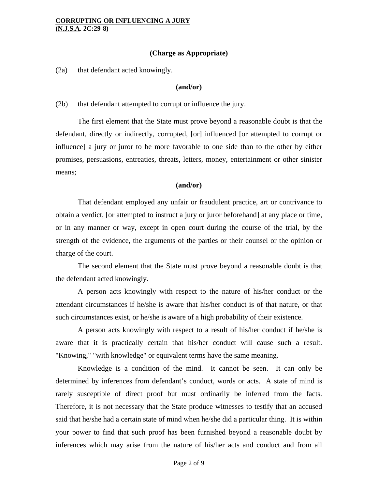## **(Charge as Appropriate)**

(2a) that defendant acted knowingly.

#### **(and/or)**

(2b) that defendant attempted to corrupt or influence the jury.

The first element that the State must prove beyond a reasonable doubt is that the defendant, directly or indirectly, corrupted, [or] influenced [or attempted to corrupt or influence] a jury or juror to be more favorable to one side than to the other by either promises, persuasions, entreaties, threats, letters, money, entertainment or other sinister means;

### **(and/or)**

That defendant employed any unfair or fraudulent practice, art or contrivance to obtain a verdict, [or attempted to instruct a jury or juror beforehand] at any place or time, or in any manner or way, except in open court during the course of the trial, by the strength of the evidence, the arguments of the parties or their counsel or the opinion or charge of the court.

The second element that the State must prove beyond a reasonable doubt is that the defendant acted knowingly.

A person acts knowingly with respect to the nature of his/her conduct or the attendant circumstances if he/she is aware that his/her conduct is of that nature, or that such circumstances exist, or he/she is aware of a high probability of their existence.

A person acts knowingly with respect to a result of his/her conduct if he/she is aware that it is practically certain that his/her conduct will cause such a result. "Knowing," "with knowledge" or equivalent terms have the same meaning.

Knowledge is a condition of the mind. It cannot be seen. It can only be determined by inferences from defendant's conduct, words or acts. A state of mind is rarely susceptible of direct proof but must ordinarily be inferred from the facts. Therefore, it is not necessary that the State produce witnesses to testify that an accused said that he/she had a certain state of mind when he/she did a particular thing. It is within your power to find that such proof has been furnished beyond a reasonable doubt by inferences which may arise from the nature of his/her acts and conduct and from all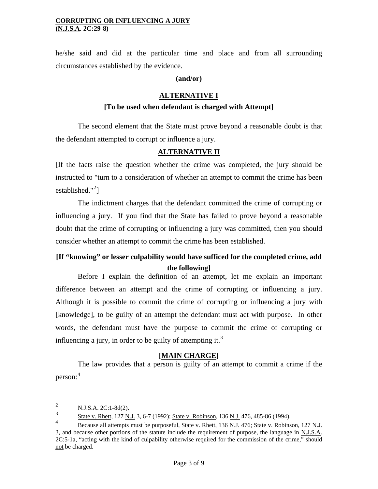he/she said and did at the particular time and place and from all surrounding circumstances established by the evidence.

### **(and/or)**

## **ALTERNATIVE I**

## **[To be used when defendant is charged with Attempt]**

 The second element that the State must prove beyond a reasonable doubt is that the defendant attempted to corrupt or influence a jury.

### **ALTERNATIVE II**

[If the facts raise the question whether the crime was completed, the jury should be instructed to "turn to a consideration of whether an attempt to commit the crime has been established."<sup>[2](#page-0-0)</sup>]

 The indictment charges that the defendant committed the crime of corrupting or influencing a jury. If you find that the State has failed to prove beyond a reasonable doubt that the crime of corrupting or influencing a jury was committed, then you should consider whether an attempt to commit the crime has been established.

# **[If "knowing" or lesser culpability would have sufficed for the completed crime, add the following]**

 Before I explain the definition of an attempt, let me explain an important difference between an attempt and the crime of corrupting or influencing a jury. Although it is possible to commit the crime of corrupting or influencing a jury with [knowledge], to be guilty of an attempt the defendant must act with purpose. In other words, the defendant must have the purpose to commit the crime of corrupting or influencing a jury, in order to be guilty of attempting it.<sup>[3](#page-2-1)</sup>

### **[MAIN CHARGE]**

 The law provides that a person is guilty of an attempt to commit a crime if the person:[4](#page-2-2)

 $\frac{1}{2}$ N.J.S.A. 2C:1-8d(2).

<span id="page-2-1"></span><sup>3</sup> State v. Rhett, 127 N.J. 3, 6-7 (1992); State v. Robinson, 136 N.J. 476, 485-86 (1994).

<span id="page-2-2"></span><span id="page-2-0"></span><sup>4</sup> Because all attempts must be purposeful, State v. Rhett, 136 N.J. 476; State v. Robinson, 127 N.J. 3, and because other portions of the statute include the requirement of purpose, the language in N.J.S.A. 2C:5-1a, "acting with the kind of culpability otherwise required for the commission of the crime," should not be charged.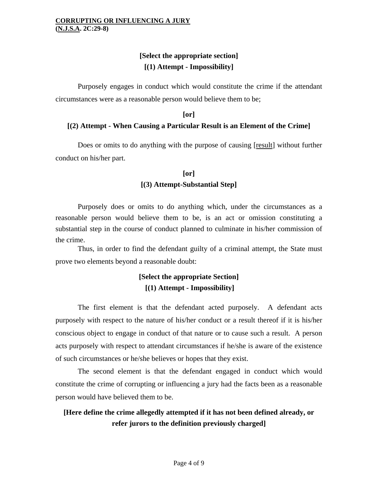# **[Select the appropriate section] [(1) Attempt - Impossibility]**

 Purposely engages in conduct which would constitute the crime if the attendant circumstances were as a reasonable person would believe them to be;

### **[or]**

## **[(2) Attempt - When Causing a Particular Result is an Element of the Crime]**

 Does or omits to do anything with the purpose of causing [result] without further conduct on his/her part.

# **[or] [(3) Attempt-Substantial Step]**

 Purposely does or omits to do anything which, under the circumstances as a reasonable person would believe them to be, is an act or omission constituting a substantial step in the course of conduct planned to culminate in his/her commission of the crime.

 Thus, in order to find the defendant guilty of a criminal attempt, the State must prove two elements beyond a reasonable doubt:

# **[Select the appropriate Section] [(1) Attempt - Impossibility]**

 The first element is that the defendant acted purposely. A defendant acts purposely with respect to the nature of his/her conduct or a result thereof if it is his/her conscious object to engage in conduct of that nature or to cause such a result. A person acts purposely with respect to attendant circumstances if he/she is aware of the existence of such circumstances or he/she believes or hopes that they exist.

 The second element is that the defendant engaged in conduct which would constitute the crime of corrupting or influencing a jury had the facts been as a reasonable person would have believed them to be.

# **[Here define the crime allegedly attempted if it has not been defined already, or refer jurors to the definition previously charged]**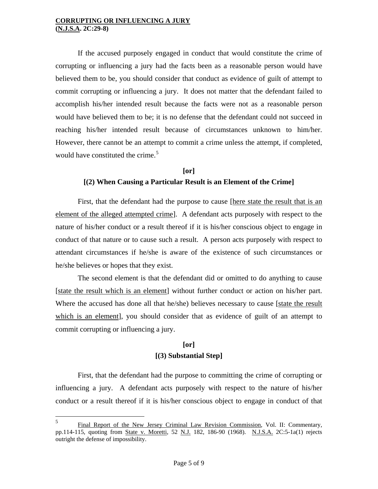If the accused purposely engaged in conduct that would constitute the crime of corrupting or influencing a jury had the facts been as a reasonable person would have believed them to be, you should consider that conduct as evidence of guilt of attempt to commit corrupting or influencing a jury. It does not matter that the defendant failed to accomplish his/her intended result because the facts were not as a reasonable person would have believed them to be; it is no defense that the defendant could not succeed in reaching his/her intended result because of circumstances unknown to him/her. However, there cannot be an attempt to commit a crime unless the attempt, if completed, would have constituted the crime.<sup>[5](#page-2-2)</sup>

# **[or] [(2) When Causing a Particular Result is an Element of the Crime]**

First, that the defendant had the purpose to cause [here state the result that is an element of the alleged attempted crime]. A defendant acts purposely with respect to the nature of his/her conduct or a result thereof if it is his/her conscious object to engage in conduct of that nature or to cause such a result. A person acts purposely with respect to attendant circumstances if he/she is aware of the existence of such circumstances or he/she believes or hopes that they exist.

 The second element is that the defendant did or omitted to do anything to cause [state the result which is an element] without further conduct or action on his/her part. Where the accused has done all that he/she) believes necessary to cause [state the result which is an element], you should consider that as evidence of guilt of an attempt to commit corrupting or influencing a jury.

# **[or] [(3) Substantial Step]**

 First, that the defendant had the purpose to committing the crime of corrupting or influencing a jury. A defendant acts purposely with respect to the nature of his/her conduct or a result thereof if it is his/her conscious object to engage in conduct of that

<span id="page-4-0"></span> 5 Final Report of the New Jersey Criminal Law Revision Commission, Vol. II: Commentary, pp.114-115, quoting from State v. Moretti, 52 N.J. 182, 186-90 (1968). N.J.S.A. 2C:5-1a(1) rejects outright the defense of impossibility.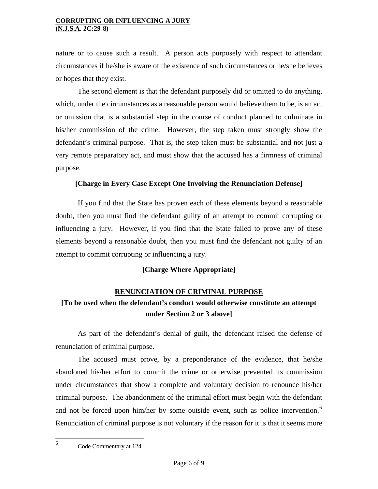nature or to cause such a result. A person acts purposely with respect to attendant circumstances if he/she is aware of the existence of such circumstances or he/she believes or hopes that they exist.

 The second element is that the defendant purposely did or omitted to do anything, which, under the circumstances as a reasonable person would believe them to be, is an act or omission that is a substantial step in the course of conduct planned to culminate in his/her commission of the crime. However, the step taken must strongly show the defendant's criminal purpose. That is, the step taken must be substantial and not just a very remote preparatory act, and must show that the accused has a firmness of criminal purpose.

## **[Charge in Every Case Except One Involving the Renunciation Defense]**

 If you find that the State has proven each of these elements beyond a reasonable doubt, then you must find the defendant guilty of an attempt to commit corrupting or influencing a jury. However, if you find that the State failed to prove any of these elements beyond a reasonable doubt, then you must find the defendant not guilty of an attempt to commit corrupting or influencing a jury.

# **[Charge Where Appropriate]**

# **RENUNCIATION OF CRIMINAL PURPOSE**

# **[To be used when the defendant's conduct would otherwise constitute an attempt under Section 2 or 3 above]**

 As part of the defendant's denial of guilt, the defendant raised the defense of renunciation of criminal purpose.

 The accused must prove, by a preponderance of the evidence, that he/she abandoned his/her effort to commit the crime or otherwise prevented its commission under circumstances that show a complete and voluntary decision to renounce his/her criminal purpose. The abandonment of the criminal effort must begin with the defendant and not be forced upon him/her by some outside event, such as police intervention.<sup>[6](#page-4-0)</sup> Renunciation of criminal purpose is not voluntary if the reason for it is that it seems more

<span id="page-5-0"></span> $\frac{1}{6}$ Code Commentary at 124.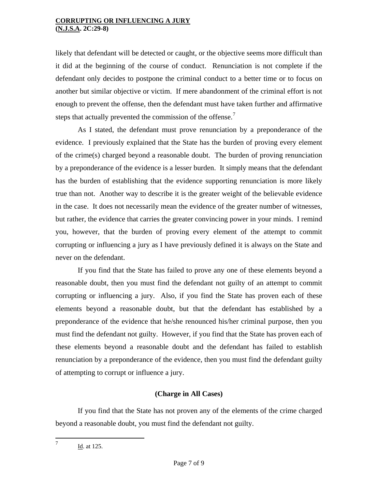likely that defendant will be detected or caught, or the objective seems more difficult than it did at the beginning of the course of conduct. Renunciation is not complete if the defendant only decides to postpone the criminal conduct to a better time or to focus on another but similar objective or victim. If mere abandonment of the criminal effort is not enough to prevent the offense, then the defendant must have taken further and affirmative steps that actually prevented the commission of the offense.<sup>[7](#page-5-0)</sup>

As I stated, the defendant must prove renunciation by a preponderance of the evidence. I previously explained that the State has the burden of proving every element of the crime(s) charged beyond a reasonable doubt. The burden of proving renunciation by a preponderance of the evidence is a lesser burden. It simply means that the defendant has the burden of establishing that the evidence supporting renunciation is more likely true than not. Another way to describe it is the greater weight of the believable evidence in the case. It does not necessarily mean the evidence of the greater number of witnesses, but rather, the evidence that carries the greater convincing power in your minds. I remind you, however, that the burden of proving every element of the attempt to commit corrupting or influencing a jury as I have previously defined it is always on the State and never on the defendant.

 If you find that the State has failed to prove any one of these elements beyond a reasonable doubt, then you must find the defendant not guilty of an attempt to commit corrupting or influencing a jury. Also, if you find the State has proven each of these elements beyond a reasonable doubt, but that the defendant has established by a preponderance of the evidence that he/she renounced his/her criminal purpose, then you must find the defendant not guilty. However, if you find that the State has proven each of these elements beyond a reasonable doubt and the defendant has failed to establish renunciation by a preponderance of the evidence, then you must find the defendant guilty of attempting to corrupt or influence a jury.

# **(Charge in All Cases)**

If you find that the State has not proven any of the elements of the crime charged beyond a reasonable doubt, you must find the defendant not guilty.

<span id="page-6-0"></span> 7 Id. at 125.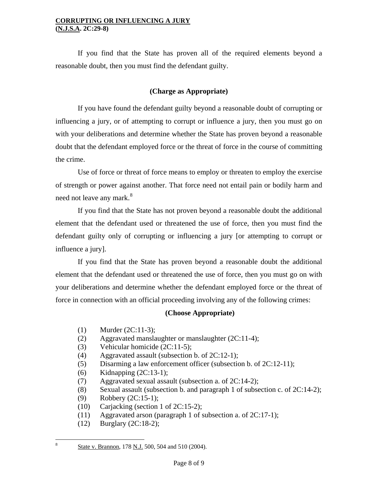If you find that the State has proven all of the required elements beyond a reasonable doubt, then you must find the defendant guilty.

# **(Charge as Appropriate)**

If you have found the defendant guilty beyond a reasonable doubt of corrupting or influencing a jury, or of attempting to corrupt or influence a jury, then you must go on with your deliberations and determine whether the State has proven beyond a reasonable doubt that the defendant employed force or the threat of force in the course of committing the crime.

Use of force or threat of force means to employ or threaten to employ the exercise of strength or power against another. That force need not entail pain or bodily harm and need not leave any mark.<sup>[8](#page-6-0)</sup>

If you find that the State has not proven beyond a reasonable doubt the additional element that the defendant used or threatened the use of force, then you must find the defendant guilty only of corrupting or influencing a jury [or attempting to corrupt or influence a jury].

If you find that the State has proven beyond a reasonable doubt the additional element that the defendant used or threatened the use of force, then you must go on with your deliberations and determine whether the defendant employed force or the threat of force in connection with an official proceeding involving any of the following crimes:

# **(Choose Appropriate)**

- (1) Murder (2C:11-3);
- (2) Aggravated manslaughter or manslaughter (2C:11-4);
- (3) Vehicular homicide (2C:11-5);
- (4) Aggravated assault (subsection b. of 2C:12-1);
- (5) Disarming a law enforcement officer (subsection b. of 2C:12-11);
- (6) Kidnapping (2C:13-1);
- (7) Aggravated sexual assault (subsection a. of 2C:14-2);
- (8) Sexual assault (subsection b. and paragraph 1 of subsection c. of  $2C:14-2$ );
- (9) Robbery (2C:15-1);
- (10) Carjacking (section 1 of 2C:15-2);
- (11) Aggravated arson (paragraph 1 of subsection a. of 2C:17-1);
- (12) Burglary (2C:18-2);

<span id="page-7-0"></span>8

State v. Brannon, 178 N.J. 500, 504 and 510 (2004).